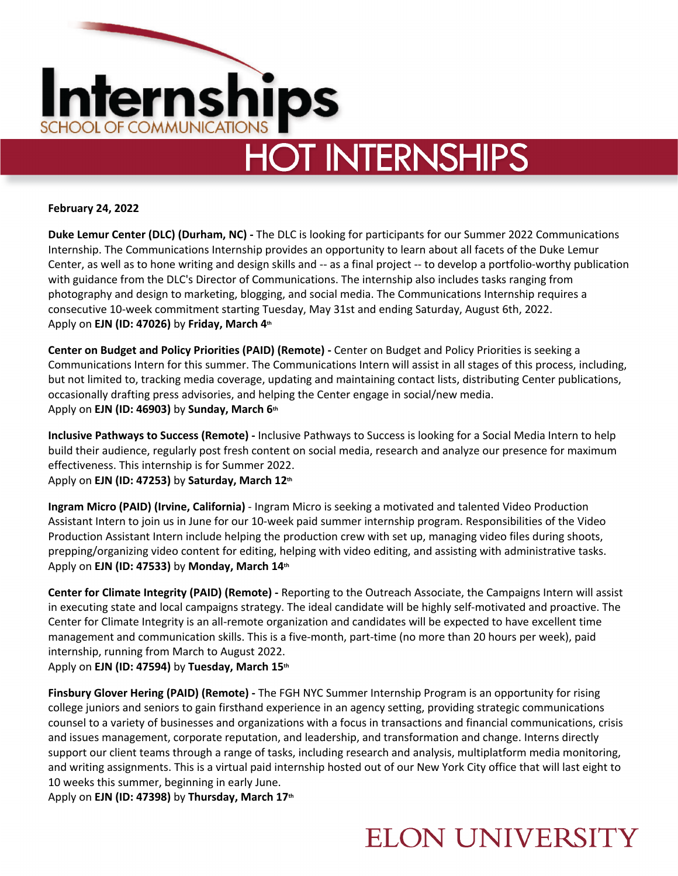

#### **February 24, 2022**

**Duke Lemur Center (DLC) (Durham, NC) -** The DLC is looking for participants for our Summer 2022 Communications Internship. The Communications Internship provides an opportunity to learn about all facets of the Duke Lemur Center, as well as to hone writing and design skills and -- as a final project -- to develop a portfolio-worthy publication with guidance from the DLC's Director of Communications. The internship also includes tasks ranging from photography and design to marketing, blogging, and social media. The Communications Internship requires a consecutive 10-week commitment starting Tuesday, May 31st and ending Saturday, August 6th, 2022. Apply on **EJN (ID: 47026)** by **Friday, March 4th**

**Center on Budget and Policy Priorities (PAID) (Remote) -** Center on Budget and Policy Priorities is seeking a Communications Intern for this summer. The Communications Intern will assist in all stages of this process, including, but not limited to, tracking media coverage, updating and maintaining contact lists, distributing Center publications, occasionally drafting press advisories, and helping the Center engage in social/new media. Apply on **EJN (ID: 46903)** by **Sunday, March 6th**

**Inclusive Pathways to Success (Remote) -** Inclusive Pathways to Success is looking for a Social Media Intern to help build their audience, regularly post fresh content on social media, research and analyze our presence for maximum effectiveness. This internship is for Summer 2022.

Apply on **EJN (ID: 47253)** by **Saturday, March 12th**

**Ingram Micro (PAID) (Irvine, California)** - Ingram Micro is seeking a motivated and talented Video Production Assistant Intern to join us in June for our 10-week paid summer internship program. Responsibilities of the Video Production Assistant Intern include helping the production crew with set up, managing video files during shoots, prepping/organizing video content for editing, helping with video editing, and assisting with administrative tasks. Apply on **EJN (ID: 47533)** by **Monday, March 14th**

**Center for Climate Integrity (PAID) (Remote) -** Reporting to the Outreach Associate, the Campaigns Intern will assist in executing state and local campaigns strategy. The ideal candidate will be highly self-motivated and proactive. The Center for Climate Integrity is an all-remote organization and candidates will be expected to have excellent time management and communication skills. This is a five-month, part-time (no more than 20 hours per week), paid internship, running from March to August 2022.

Apply on **EJN (ID: 47594)** by **Tuesday, March 15th**

**Finsbury Glover Hering (PAID) (Remote) -** The FGH NYC Summer Internship Program is an opportunity for rising college juniors and seniors to gain firsthand experience in an agency setting, providing strategic communications counsel to a variety of businesses and organizations with a focus in transactions and financial communications, crisis and issues management, corporate reputation, and leadership, and transformation and change. Interns directly support our client teams through a range of tasks, including research and analysis, multiplatform media monitoring, and writing assignments. This is a virtual paid internship hosted out of our New York City office that will last eight to 10 weeks this summer, beginning in early June.

Apply on **EJN (ID: 47398)** by **Thursday, March 17th**

### **ELON UNIVERSITY**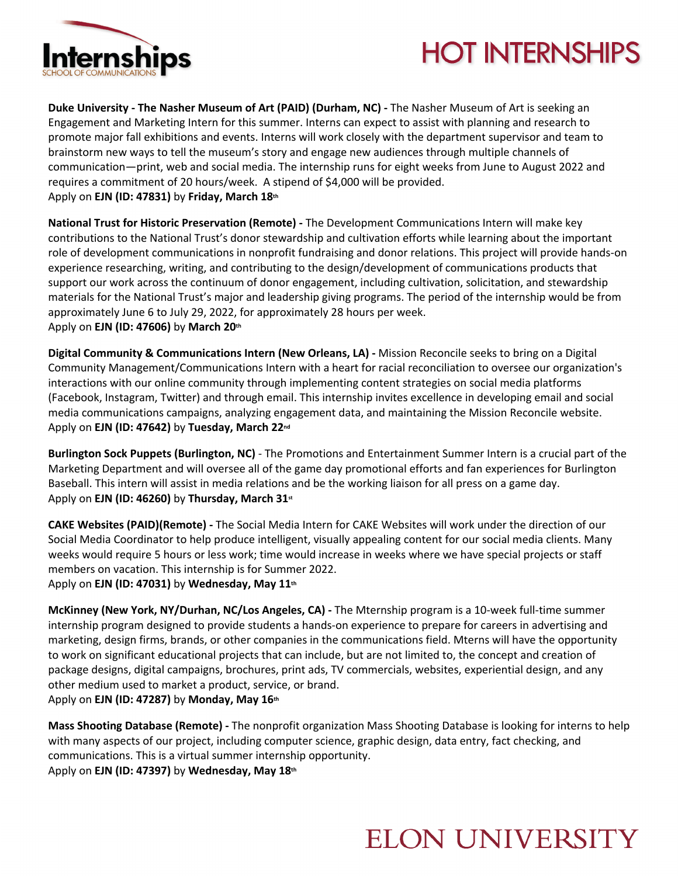

# **HOT INTERNSHIPS**

**Duke University - The Nasher Museum of Art (PAID) (Durham, NC) -** The Nasher Museum of Art is seeking an Engagement and Marketing Intern for this summer. Interns can expect to assist with planning and research to promote major fall exhibitions and events. Interns will work closely with the department supervisor and team to brainstorm new ways to tell the museum's story and engage new audiences through multiple channels of communication—print, web and social media. The internship runs for eight weeks from June to August 2022 and requires a commitment of 20 hours/week. A stipend of \$4,000 will be provided. Apply on **EJN (ID: 47831)** by **Friday, March 18th**

**National Trust for Historic Preservation (Remote) -** The Development Communications Intern will make key contributions to the National Trust's donor stewardship and cultivation efforts while learning about the important role of development communications in nonprofit fundraising and donor relations. This project will provide hands-on experience researching, writing, and contributing to the design/development of communications products that support our work across the continuum of donor engagement, including cultivation, solicitation, and stewardship materials for the National Trust's major and leadership giving programs. The period of the internship would be from approximately June 6 to July 29, 2022, for approximately 28 hours per week. Apply on **EJN (ID: 47606)** by **March 20th**

**Digital Community & Communications Intern (New Orleans, LA) -** Mission Reconcile seeks to bring on a Digital Community Management/Communications Intern with a heart for racial reconciliation to oversee our organization's interactions with our online community through implementing content strategies on social media platforms (Facebook, Instagram, Twitter) and through email. This internship invites excellence in developing email and social media communications campaigns, analyzing engagement data, and maintaining the Mission Reconcile website. Apply on **EJN (ID: 47642)** by **Tuesday, March 22nd**

**Burlington Sock Puppets (Burlington, NC)** - The Promotions and Entertainment Summer Intern is a crucial part of the Marketing Department and will oversee all of the game day promotional efforts and fan experiences for Burlington Baseball. This intern will assist in media relations and be the working liaison for all press on a game day. Apply on **EJN (ID: 46260)** by **Thursday, March 31st**

**CAKE Websites (PAID)(Remote) -** The Social Media Intern for CAKE Websites will work under the direction of our Social Media Coordinator to help produce intelligent, visually appealing content for our social media clients. Many weeks would require 5 hours or less work; time would increase in weeks where we have special projects or staff members on vacation. This internship is for Summer 2022. Apply on **EJN (ID: 47031)** by **Wednesday, May 11th**

**McKinney (New York, NY/Durhan, NC/Los Angeles, CA) -** The Mternship program is a 10-week full-time summer internship program designed to provide students a hands-on experience to prepare for careers in advertising and marketing, design firms, brands, or other companies in the communications field. Mterns will have the opportunity to work on significant educational projects that can include, but are not limited to, the concept and creation of package designs, digital campaigns, brochures, print ads, TV commercials, websites, experiential design, and any other medium used to market a product, service, or brand. Apply on **EJN (ID: 47287)** by **Monday, May 16th**

**Mass Shooting Database (Remote) -** The nonprofit organization Mass Shooting Database is looking for interns to help with many aspects of our project, including computer science, graphic design, data entry, fact checking, and communications. This is a virtual summer internship opportunity. Apply on **EJN (ID: 47397)** by **Wednesday, May 18th**

## **ELON UNIVERSITY**